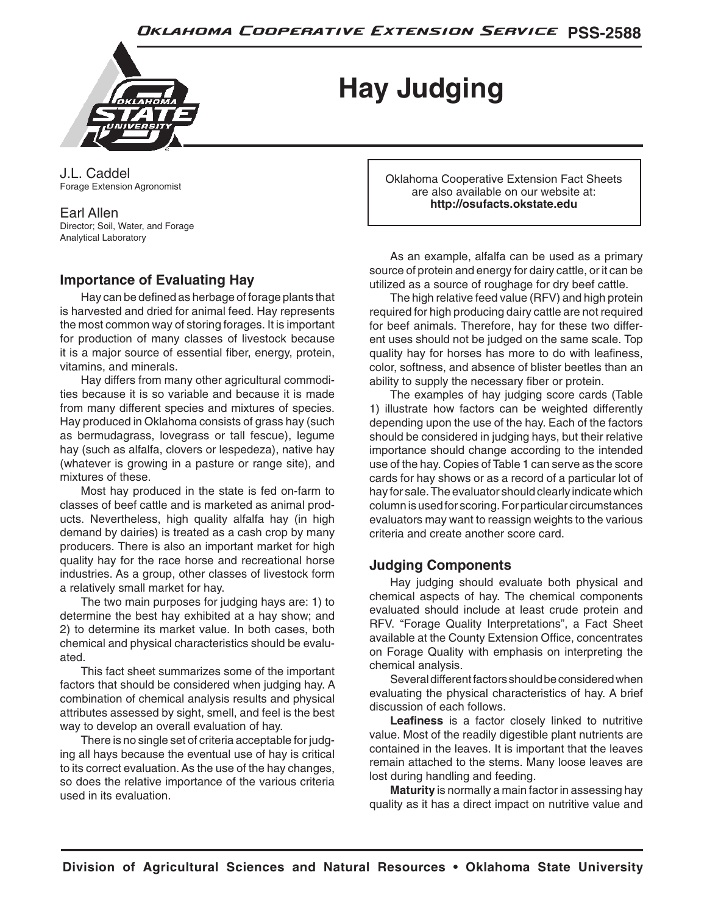

**Hay Judging**

J.L. Caddel Forage Extension Agronomist

Earl Allen Director; Soil, Water, and Forage Analytical Laboratory

## **Importance of Evaluating Hay**

Hay can be defined as herbage of forage plants that is harvested and dried for animal feed. Hay represents the most common way of storing forages. It is important for production of many classes of livestock because it is a major source of essential fiber, energy, protein, vitamins, and minerals.

Hay differs from many other agricultural commodities because it is so variable and because it is made from many different species and mixtures of species. Hay produced in Oklahoma consists of grass hay (such as bermudagrass, lovegrass or tall fescue), legume hay (such as alfalfa, clovers or lespedeza), native hay (whatever is growing in a pasture or range site), and mixtures of these.

Most hay produced in the state is fed on-farm to classes of beef cattle and is marketed as animal products. Nevertheless, high quality alfalfa hay (in high demand by dairies) is treated as a cash crop by many producers. There is also an important market for high quality hay for the race horse and recreational horse industries. As a group, other classes of livestock form a relatively small market for hay.

The two main purposes for judging hays are: 1) to determine the best hay exhibited at a hay show; and 2) to determine its market value. In both cases, both chemical and physical characteristics should be evaluated.

This fact sheet summarizes some of the important factors that should be considered when judging hay. A combination of chemical analysis results and physical attributes assessed by sight, smell, and feel is the best way to develop an overall evaluation of hay.

There is no single set of criteria acceptable for judging all hays because the eventual use of hay is critical to its correct evaluation. As the use of the hay changes, so does the relative importance of the various criteria used in its evaluation.

Oklahoma Cooperative Extension Fact Sheets are also available on our website at: **http://osufacts.okstate.edu**

As an example, alfalfa can be used as a primary source of protein and energy for dairy cattle, or it can be utilized as a source of roughage for dry beef cattle.

The high relative feed value (RFV) and high protein required for high producing dairy cattle are not required for beef animals. Therefore, hay for these two different uses should not be judged on the same scale. Top quality hay for horses has more to do with leafiness, color, softness, and absence of blister beetles than an ability to supply the necessary fiber or protein.

The examples of hay judging score cards (Table 1) illustrate how factors can be weighted differently depending upon the use of the hay. Each of the factors should be considered in judging hays, but their relative importance should change according to the intended use of the hay. Copies of Table 1 can serve as the score cards for hay shows or as a record of a particular lot of hay for sale. The evaluator should clearly indicate which column is used for scoring. For particular circumstances evaluators may want to reassign weights to the various criteria and create another score card.

## **Judging Components**

Hay judging should evaluate both physical and chemical aspects of hay. The chemical components evaluated should include at least crude protein and RFV. "Forage Quality Interpretations", a Fact Sheet available at the County Extension Office, concentrates on Forage Quality with emphasis on interpreting the chemical analysis.

Several different factors should be considered when evaluating the physical characteristics of hay. A brief discussion of each follows.

**Leafiness** is a factor closely linked to nutritive value. Most of the readily digestible plant nutrients are contained in the leaves. It is important that the leaves remain attached to the stems. Many loose leaves are lost during handling and feeding.

**Maturity** is normally a main factor in assessing hay quality as it has a direct impact on nutritive value and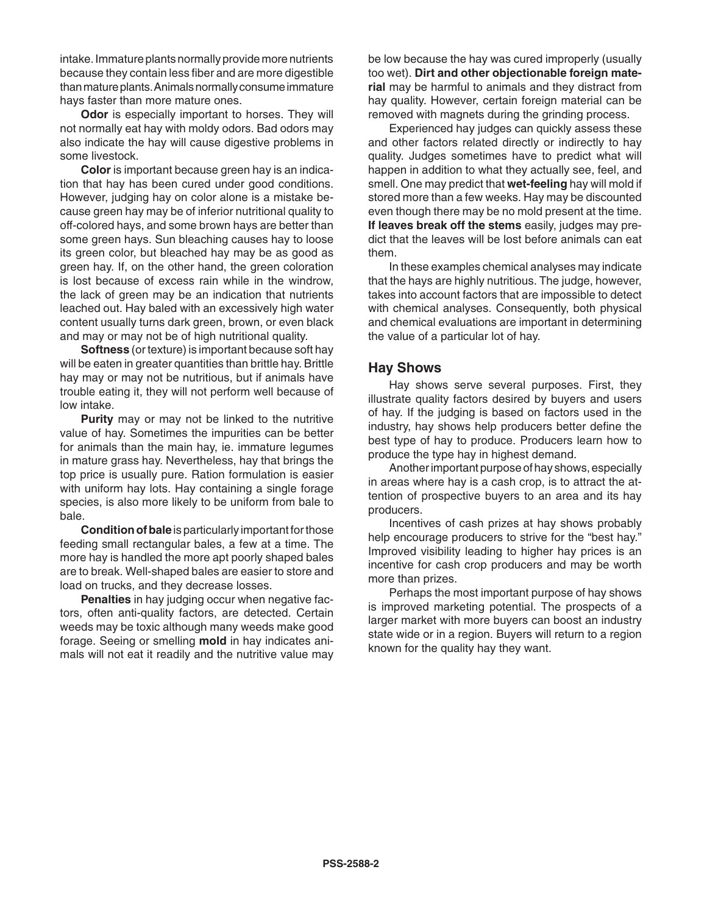intake. Immature plants normally provide more nutrients because they contain less fiber and are more digestible than mature plants. Animals normally consume immature hays faster than more mature ones.

**Odor** is especially important to horses. They will not normally eat hay with moldy odors. Bad odors may also indicate the hay will cause digestive problems in some livestock.

**Color** is important because green hay is an indication that hay has been cured under good conditions. However, judging hay on color alone is a mistake because green hay may be of inferior nutritional quality to off-colored hays, and some brown hays are better than some green hays. Sun bleaching causes hay to loose its green color, but bleached hay may be as good as green hay. If, on the other hand, the green coloration is lost because of excess rain while in the windrow, the lack of green may be an indication that nutrients leached out. Hay baled with an excessively high water content usually turns dark green, brown, or even black and may or may not be of high nutritional quality.

**Softness** (or texture) is important because soft hay will be eaten in greater quantities than brittle hay. Brittle hay may or may not be nutritious, but if animals have trouble eating it, they will not perform well because of low intake.

**Purity** may or may not be linked to the nutritive value of hay. Sometimes the impurities can be better for animals than the main hay, ie. immature legumes in mature grass hay. Nevertheless, hay that brings the top price is usually pure. Ration formulation is easier with uniform hay lots. Hay containing a single forage species, is also more likely to be uniform from bale to bale.

**Condition of bale** is particularly important for those feeding small rectangular bales, a few at a time. The more hay is handled the more apt poorly shaped bales are to break. Well-shaped bales are easier to store and load on trucks, and they decrease losses.

**Penalties** in hay judging occur when negative factors, often anti-quality factors, are detected. Certain weeds may be toxic although many weeds make good forage. Seeing or smelling **mold** in hay indicates animals will not eat it readily and the nutritive value may be low because the hay was cured improperly (usually too wet). **Dirt and other objectionable foreign material** may be harmful to animals and they distract from hay quality. However, certain foreign material can be removed with magnets during the grinding process.

Experienced hay judges can quickly assess these and other factors related directly or indirectly to hay quality. Judges sometimes have to predict what will happen in addition to what they actually see, feel, and smell. One may predict that **wet-feeling** hay will mold if stored more than a few weeks. Hay may be discounted even though there may be no mold present at the time. **If leaves break off the stems** easily, judges may predict that the leaves will be lost before animals can eat them.

In these examples chemical analyses may indicate that the hays are highly nutritious. The judge, however, takes into account factors that are impossible to detect with chemical analyses. Consequently, both physical and chemical evaluations are important in determining the value of a particular lot of hay.

### **Hay Shows**

Hay shows serve several purposes. First, they illustrate quality factors desired by buyers and users of hay. If the judging is based on factors used in the industry, hay shows help producers better define the best type of hay to produce. Producers learn how to produce the type hay in highest demand.

Another important purpose of hay shows, especially in areas where hay is a cash crop, is to attract the attention of prospective buyers to an area and its hay producers.

Incentives of cash prizes at hay shows probably help encourage producers to strive for the "best hay." Improved visibility leading to higher hay prices is an incentive for cash crop producers and may be worth more than prizes.

Perhaps the most important purpose of hay shows is improved marketing potential. The prospects of a larger market with more buyers can boost an industry state wide or in a region. Buyers will return to a region known for the quality hay they want.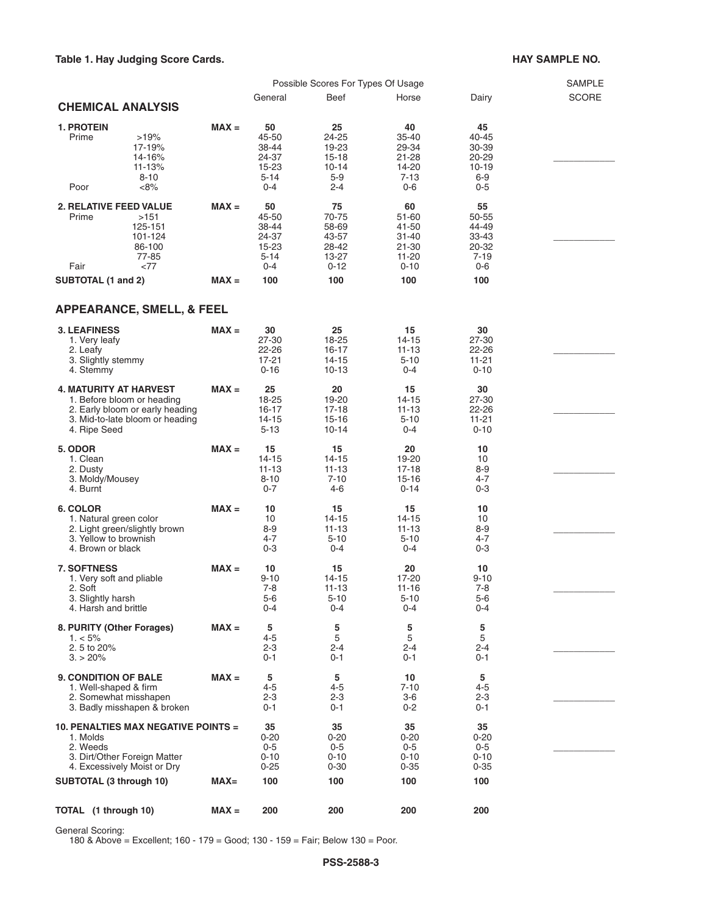#### Table 1. Hay Judging Score Cards. **HAY SAMPLE NO. HAY SAMPLE NO.**

|                                                                                                                                                   | Possible Scores For Types Of Usage |                                                               |                                                                    |                                                               |                                                                 | <b>SAMPLE</b> |
|---------------------------------------------------------------------------------------------------------------------------------------------------|------------------------------------|---------------------------------------------------------------|--------------------------------------------------------------------|---------------------------------------------------------------|-----------------------------------------------------------------|---------------|
| <b>CHEMICAL ANALYSIS</b>                                                                                                                          |                                    | General                                                       | Beef                                                               | Horse                                                         | Dairy                                                           | <b>SCORE</b>  |
| <b>1. PROTEIN</b><br>Prime<br>>19%<br>17-19%<br>14-16%<br>11-13%<br>$8 - 10$<br>Poor<br><8%                                                       | $MAX =$                            | 50<br>45-50<br>38-44<br>24-37<br>15-23<br>$5 - 14$<br>$0 - 4$ | 25<br>24-25<br>19-23<br>$15 - 18$<br>$10 - 14$<br>$5-9$<br>$2 - 4$ | 40<br>35-40<br>29-34<br>21-28<br>14-20<br>$7 - 13$<br>$0 - 6$ | 45<br>40-45<br>30-39<br>20-29<br>$10 - 19$<br>$6-9$<br>$0-5$    |               |
| <b>2. RELATIVE FEED VALUE</b><br>Prime<br>>151<br>125-151<br>101-124<br>86-100<br>77-85<br><77<br>Fair                                            | $MAX =$                            | 50<br>45-50<br>38-44<br>24-37<br>15-23<br>$5 - 14$<br>$0 - 4$ | 75<br>70-75<br>58-69<br>43-57<br>28-42<br>13-27<br>$0 - 12$        | 60<br>51-60<br>41-50<br>31-40<br>21-30<br>11-20<br>$0 - 10$   | 55<br>50-55<br>44-49<br>$33 - 43$<br>20-32<br>$7 - 19$<br>$0-6$ |               |
| SUBTOTAL (1 and 2)                                                                                                                                | $MAX =$                            | 100                                                           | 100                                                                | 100                                                           | 100                                                             |               |
| <b>APPEARANCE, SMELL, &amp; FEEL</b>                                                                                                              |                                    |                                                               |                                                                    |                                                               |                                                                 |               |
| <b>3. LEAFINESS</b><br>1. Very leafy<br>2. Leafy<br>3. Slightly stemmy                                                                            | $MAX =$                            | 30<br>27-30<br>$22 - 26$<br>17-21                             | 25<br>18-25<br>$16 - 17$<br>14-15                                  | 15<br>$14 - 15$<br>11-13<br>$5 - 10$                          | 30<br>27-30<br>22-26<br>11-21                                   |               |
| 4. Stemmy                                                                                                                                         |                                    | $0 - 16$                                                      | $10 - 13$                                                          | $0 - 4$                                                       | $0 - 10$                                                        |               |
| <b>4. MATURITY AT HARVEST</b><br>1. Before bloom or heading<br>2. Early bloom or early heading<br>3. Mid-to-late bloom or heading<br>4. Ripe Seed | $MAX =$                            | 25<br>18-25<br>16-17<br>$14 - 15$                             | 20<br>19-20<br>$17-18$<br>15-16                                    | 15<br>14-15<br>11-13<br>$5 - 10$                              | 30<br>27-30<br>22-26<br>$11 - 21$                               |               |
|                                                                                                                                                   |                                    | $5 - 13$                                                      | $10 - 14$                                                          | $0 - 4$                                                       | $0 - 10$                                                        |               |
| 5. ODOR<br>1. Clean<br>2. Dusty<br>3. Moldy/Mousey                                                                                                | $MAX =$                            | 15<br>$14 - 15$<br>11-13<br>$8 - 10$                          | 15<br>$14 - 15$<br>$11 - 13$<br>$7 - 10$                           | 20<br>19-20<br>17-18<br>15-16                                 | 10<br>10<br>$8-9$<br>$4 - 7$                                    |               |
| 4. Burnt<br>6. COLOR<br>1. Natural green color<br>2. Light green/slightly brown                                                                   | $MAX =$                            | $0 - 7$<br>10<br>10<br>8-9                                    | 4-6<br>15<br>$14 - 15$<br>$11 - 13$                                | $0 - 14$<br>15<br>14-15<br>$11 - 13$                          | $0 - 3$<br>10<br>10<br>$8-9$                                    |               |
| 3. Yellow to brownish<br>4. Brown or black                                                                                                        |                                    | 4-7<br>$0 - 3$                                                | $5 - 10$<br>$0 - 4$                                                | $5 - 10$<br>$0 - 4$                                           | $4 - 7$<br>$0-3$                                                |               |
| <b>7. SOFTNESS</b><br>1. Very soft and pliable<br>2. Soft                                                                                         | $MAX =$                            | 10<br>$9 - 10$<br>7-8                                         | 15<br>14-15<br>$11 - 13$                                           | 20<br>17-20<br>11-16                                          | 10<br>$9 - 10$<br>$7-8$                                         |               |
| 3. Slightly harsh<br>4. Harsh and brittle                                                                                                         |                                    | 5-6<br>0-4                                                    | $5 - 10$<br>$0 - 4$                                                | $5 - 10$<br>0-4                                               | 5-6<br>$0 - 4$                                                  |               |
| 8. PURITY (Other Forages)<br>$1. < 5\%$<br>2.5 to 20%                                                                                             | $MAX =$                            | 5<br>$4 - 5$<br>2-3                                           | 5<br>5<br>$2 - 4$                                                  | 5<br>5<br>2-4                                                 | 5<br>5<br>2-4                                                   |               |
| $3. > 20\%$                                                                                                                                       |                                    | 0-1                                                           | 0-1                                                                | 0-1                                                           | 0-1                                                             |               |
| <b>9. CONDITION OF BALE</b><br>1. Well-shaped & firm<br>2. Somewhat misshapen<br>3. Badly misshapen & broken                                      | $MAX =$                            | 5<br>4-5<br>2-3<br>0-1                                        | 5<br>$4 - 5$<br>$2 - 3$<br>0-1                                     | 10<br>$7 - 10$<br>$3-6$<br>0-2                                | 5<br>4-5<br>2-3<br>0-1                                          |               |
| <b>10. PENALTIES MAX NEGATIVE POINTS =</b><br>1. Molds<br>2. Weeds                                                                                |                                    | 35<br>$0 - 20$<br>0-5                                         | 35<br>$0 - 20$<br>0-5                                              | 35<br>$0 - 20$<br>$0-5$                                       | 35<br>$0 - 20$<br>0-5                                           |               |
| 3. Dirt/Other Foreign Matter<br>4. Excessively Moist or Dry                                                                                       |                                    | $0 - 10$<br>$0 - 25$                                          | $0 - 10$<br>$0 - 30$                                               | $0 - 10$<br>$0 - 35$                                          | $0 - 10$<br>$0 - 35$                                            |               |
| SUBTOTAL (3 through 10)                                                                                                                           | $MAX =$                            | 100                                                           | 100                                                                | 100                                                           | 100                                                             |               |
| TOTAL (1 through 10)                                                                                                                              | $MAX =$                            | 200                                                           | 200                                                                | 200                                                           | 200                                                             |               |

General Scoring:

180 & Above = Excellent; 160 - 179 = Good; 130 - 159 = Fair; Below 130 = Poor.